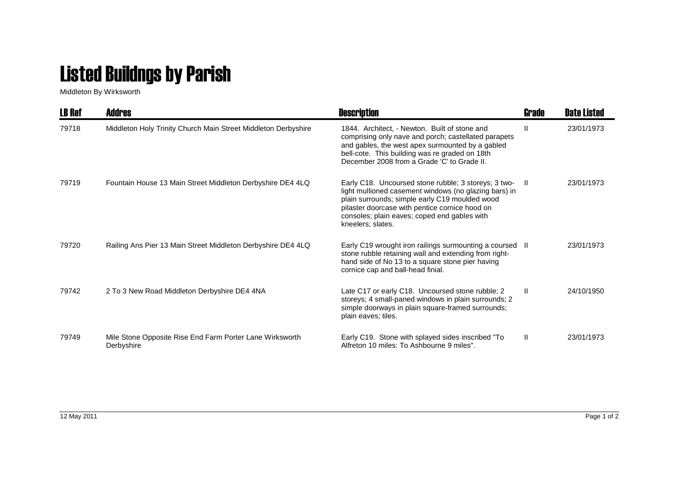## Listed Buildngs by Parish

Middleton By Wirksworth

| <b>LB Ref</b> | <b>Addres</b>                                                          | <b>Description</b>                                                                                                                                                                                                                                                                     | Grade        | <b>Date Listed</b> |
|---------------|------------------------------------------------------------------------|----------------------------------------------------------------------------------------------------------------------------------------------------------------------------------------------------------------------------------------------------------------------------------------|--------------|--------------------|
| 79718         | Middleton Holy Trinity Church Main Street Middleton Derbyshire         | 1844. Architect, - Newton. Built of stone and<br>comprising only nave and porch; castellated parapets<br>and gables, the west apex surmounted by a gabled<br>bell-cote. This building was re graded on 18th<br>December 2008 from a Grade 'C' to Grade II.                             | Ш            | 23/01/1973         |
| 79719         | Fountain House 13 Main Street Middleton Derbyshire DE4 4LQ             | Early C18. Uncoursed stone rubble; 3 storeys; 3 two-<br>light mullioned casement windows (no glazing bars) in<br>plain surrounds; simple early C19 moulded wood<br>pilaster doorcase with pentice cornice hood on<br>consoles; plain eaves; coped end gables with<br>kneelers; slates. | - II         | 23/01/1973         |
| 79720         | Railing Ans Pier 13 Main Street Middleton Derbyshire DE4 4LQ           | Early C19 wrought iron railings surmounting a coursed II<br>stone rubble retaining wall and extending from right-<br>hand side of No 13 to a square stone pier having<br>cornice cap and ball-head finial.                                                                             |              | 23/01/1973         |
| 79742         | 2 To 3 New Road Middleton Derbyshire DE4 4NA                           | Late C17 or early C18. Uncoursed stone rubble; 2<br>storeys; 4 small-paned windows in plain surrounds; 2<br>simple doorways in plain square-framed surrounds;<br>plain eaves; tiles.                                                                                                   | $\mathbf{H}$ | 24/10/1950         |
| 79749         | Mile Stone Opposite Rise End Farm Porter Lane Wirksworth<br>Derbyshire | Early C19. Stone with splayed sides inscribed "To<br>Alfreton 10 miles: To Ashbourne 9 miles".                                                                                                                                                                                         | H.           | 23/01/1973         |